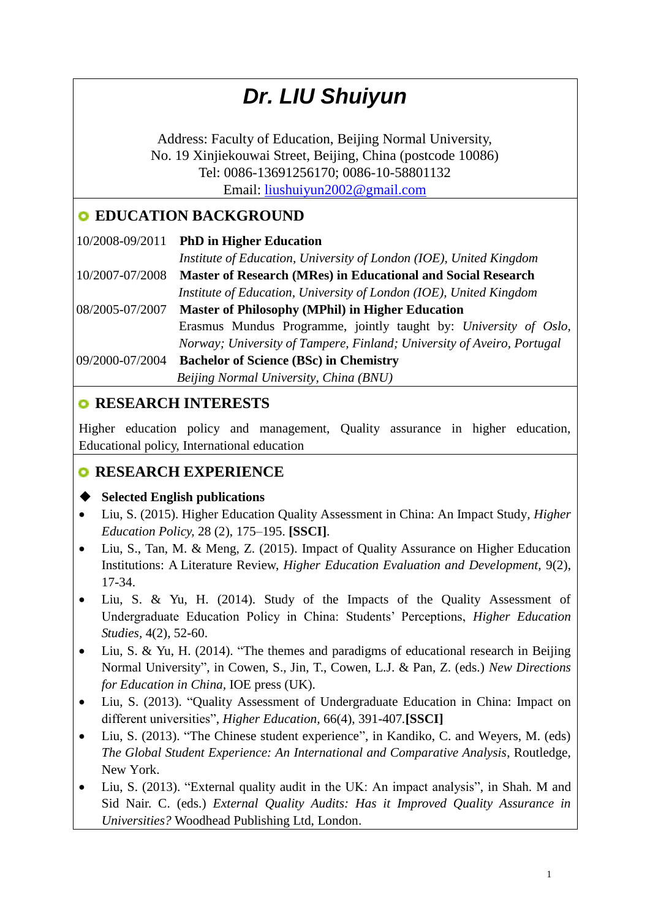# *Dr. LIU Shuiyun*

Address: Faculty of Education, Beijing Normal University, No. 19 Xinjiekouwai Street, Beijing, China (postcode 10086) Tel: 0086-13691256170; 0086-10-58801132 Email: [liushuiyun2002@gmail.com](mailto:liushuiyun2002@gmail.com)

## **EDUCATION BACKGROUND**

|                 | 10/2008-09/2011 PhD in Higher Education                                |
|-----------------|------------------------------------------------------------------------|
|                 | Institute of Education, University of London (IOE), United Kingdom     |
| 10/2007-07/2008 | Master of Research (MRes) in Educational and Social Research           |
|                 | Institute of Education, University of London (IOE), United Kingdom     |
| 08/2005-07/2007 | <b>Master of Philosophy (MPhil) in Higher Education</b>                |
|                 | Erasmus Mundus Programme, jointly taught by: University of Oslo,       |
|                 | Norway; University of Tampere, Finland; University of Aveiro, Portugal |
| 09/2000-07/2004 | <b>Bachelor of Science (BSc) in Chemistry</b>                          |
|                 | Beijing Normal University, China (BNU)                                 |
|                 |                                                                        |

## **RESEARCH INTERESTS**

Higher education policy and management, Quality assurance in higher education, Educational policy, International education

## **RESEARCH EXPERIENCE**

### **Selected English publications**

- Liu, S. (2015). Higher Education Quality Assessment in China: An Impact Study*, Higher Education Policy,* 28 (2), 175–195. **[SSCI]**.
- Liu, S., Tan, M. & Meng, Z. (2015). Impact of Quality Assurance on Higher Education Institutions: A Literature Review, *Higher Education Evaluation and Development,* 9(2), 17-34.
- Liu, S. & Yu, H. (2014). Study of the Impacts of the Quality Assessment of Undergraduate Education Policy in China: Students' Perceptions, *Higher Education Studies,* 4(2), 52-60.
- Liu, S. & Yu, H. (2014). "The themes and paradigms of educational research in Beijing Normal University", in Cowen, S., Jin, T., Cowen, L.J. & Pan, Z. (eds.) *New Directions for Education in China,* IOE press (UK).
- Liu, S. (2013). "Quality Assessment of Undergraduate Education in China: Impact on different universities", *Higher Education,* 66(4), 391-407*.***[SSCI]**
- Liu, S. (2013). "The Chinese student experience", in Kandiko, C. and Weyers, M. (eds) *The Global Student Experience: An International and Comparative Analysis*, Routledge, New York.
- Liu, S. (2013). "External quality audit in the UK: An impact analysis", in Shah. M and Sid Nair. C. (eds.) *External Quality Audits: Has it Improved Quality Assurance in Universities?* Woodhead Publishing Ltd, London.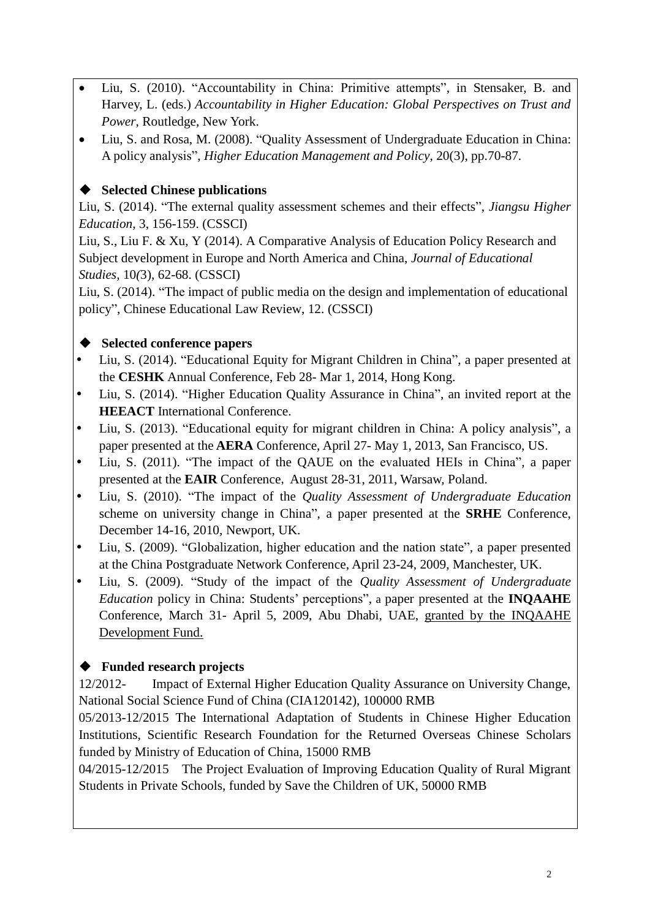- Liu, S. (2010). "Accountability in China: Primitive attempts", in Stensaker, B. and Harvey, L. (eds.) *Accountability in Higher Education: Global Perspectives on Trust and Power*, Routledge, New York.
- Liu, S. and Rosa, M. (2008). "Quality Assessment of Undergraduate Education in China: A policy analysis", *Higher Education Management and Policy*, 20(3), pp.70-87.

#### **Selected Chinese publications**

Liu, S. (2014). "The external quality assessment schemes and their effects", *Jiangsu Higher Education*, 3, 156-159. (CSSCI)

Liu, S., Liu F. & Xu, Y (2014). A Comparative Analysis of Education Policy Research and Subject development in Europe and North America and China, *Journal of Educational Studies,* 10*(*3), 62-68. (CSSCI)

Liu, S. (2014). "The impact of public media on the design and implementation of educational policy", Chinese Educational Law Review, 12. (CSSCI)

#### **Selected conference papers**

- Liu, S. (2014). "Educational Equity for Migrant Children in China", a paper presented at the **CESHK** Annual Conference, Feb 28- Mar 1, 2014, Hong Kong.
- Liu, S. (2014). "Higher Education Quality Assurance in China", an invited report at the **HEEACT** International Conference.
- Liu, S. (2013). "Educational equity for migrant children in China: A policy analysis", a paper presented at the **AERA** Conference, April 27- May 1, 2013, San Francisco, US.
- Liu, S. (2011). "The impact of the QAUE on the evaluated HEIs in China", a paper presented at the **EAIR** Conference, August 28-31, 2011, Warsaw, Poland.
- Liu, S. (2010). "The impact of the *Quality Assessment of Undergraduate Education* scheme on university change in China", a paper presented at the **SRHE** Conference, December 14-16, 2010, Newport, UK.
- Liu, S. (2009). "Globalization, higher education and the nation state", a paper presented at the China Postgraduate Network Conference, April 23-24, 2009, Manchester, UK.
- Liu, S. (2009). "Study of the impact of the *Quality Assessment of Undergraduate Education* policy in China: Students' perceptions", a paper presented at the **INQAAHE** Conference, March 31- April 5, 2009, Abu Dhabi, UAE, granted by the INQAAHE Development Fund.

#### **Funded research projects**

12/2012- Impact of External Higher Education Quality Assurance on University Change, National Social Science Fund of China (CIA120142), 100000 RMB

05/2013-12/2015 The International Adaptation of Students in Chinese Higher Education Institutions, Scientific Research Foundation for the Returned Overseas Chinese Scholars funded by Ministry of Education of China, 15000 RMB

04/2015-12/2015 The Project Evaluation of Improving Education Quality of Rural Migrant Students in Private Schools, funded by Save the Children of UK, 50000 RMB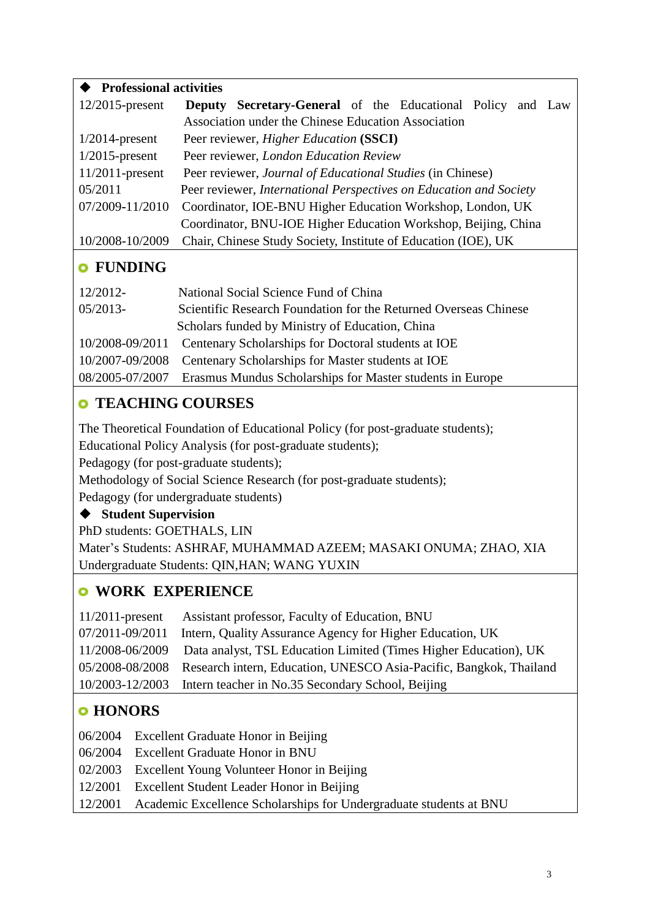| <b>Professional activities</b> |                                                                    |  |
|--------------------------------|--------------------------------------------------------------------|--|
| $12/2015$ -present             | <b>Deputy Secretary-General</b> of the Educational Policy and Law  |  |
|                                | Association under the Chinese Education Association                |  |
| $1/2014$ -present              | Peer reviewer, <i>Higher Education</i> (SSCI)                      |  |
| $1/2015$ -present              | Peer reviewer, London Education Review                             |  |
| $11/2011$ -present             | Peer reviewer, Journal of Educational Studies (in Chinese)         |  |
| 05/2011                        | Peer reviewer, International Perspectives on Education and Society |  |
| 07/2009-11/2010                | Coordinator, IOE-BNU Higher Education Workshop, London, UK         |  |
|                                | Coordinator, BNU-IOE Higher Education Workshop, Beijing, China     |  |
| 10/2008-10/2009                | Chair, Chinese Study Society, Institute of Education (IOE), UK     |  |
| <b>FUNDING</b>                 |                                                                    |  |
| 12/2012-                       | National Social Science Fund of China                              |  |
|                                |                                                                    |  |
| $05/2013-$                     | Scientific Research Foundation for the Returned Overseas Chinese   |  |
|                                | Scholars funded by Ministry of Education, China                    |  |
| 10/2008-09/2011                | Centenary Scholarships for Doctoral students at IOE                |  |
| 10/2007-09/2008                | Centenary Scholarships for Master students at IOE                  |  |

#### 08/2005-07/2007 Erasmus Mundus Scholarships for Master students in Europe

## **TEACHING COURSES**

The Theoretical Foundation of Educational Policy (for post-graduate students);

Educational Policy Analysis (for post-graduate students);

Pedagogy (for post-graduate students);

Methodology of Social Science Research (for post-graduate students);

Pedagogy (for undergraduate students)

#### **Student Supervision**

PhD students: GOETHALS, LIN

Mater's Students: ASHRAF, MUHAMMAD AZEEM; MASAKI ONUMA; ZHAO, XIA Undergraduate Students: QIN,HAN; WANG YUXIN

## **WORK EXPERIENCE**

| 11/2011-present Assistant professor, Faculty of Education, BNU                     |
|------------------------------------------------------------------------------------|
| 07/2011-09/2011 Intern, Quality Assurance Agency for Higher Education, UK          |
| 11/2008-06/2009 Data analyst, TSL Education Limited (Times Higher Education), UK   |
| 05/2008-08/2008 Research intern, Education, UNESCO Asia-Pacific, Bangkok, Thailand |
| 10/2003-12/2003 Intern teacher in No.35 Secondary School, Beijing                  |

## **HONORS**

06/2004 Excellent Graduate Honor in Beijing

- 06/2004 Excellent Graduate Honor in BNU
- 02/2003 Excellent Young Volunteer Honor in Beijing
- 12/2001 Excellent Student Leader Honor in Beijing
- 12/2001 Academic Excellence Scholarships for Undergraduate students at BNU